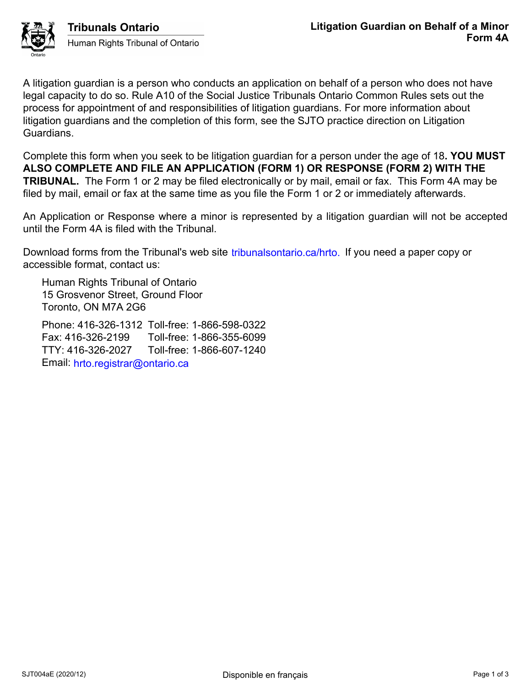

A litigation guardian is a person who conducts an application on behalf of a person who does not have legal capacity to do so. Rule A10 of the Social Justice Tribunals Ontario Common Rules sets out the process for appointment of and responsibilities of litigation guardians. For more information about litigation guardians and the completion of this form, see the SJTO practice direction on Litigation Guardians.

Complete this form when you seek to be litigation guardian for a person under the age of 18**. YOU MUST ALSO COMPLETE AND FILE AN APPLICATION (FORM 1) OR RESPONSE (FORM 2) WITH THE TRIBUNAL.** The Form 1 or 2 may be filed electronically or by mail, email or fax. This Form 4A may be filed by mail, email or fax at the same time as you file the Form 1 or 2 or immediately afterwards.

An Application or Response where a minor is represented by a litigation guardian will not be accepted until the Form 4A is filed with the Tribunal.

Download forms from the Tribunal's web site tribunalsontario.ca/hrto. If you need a paper copy or accessible format, contact us:

Human Rights Tribunal of Ontario 15 Grosvenor Street, Ground Floor Toronto, ON M7A 2G6

Phone: 416-326-1312 Toll-free: 1-866-598-0322 Fax: 416-326-2199 Toll-free: 1-866-355-6099 TTY: 416-326-2027 Toll-free: 1-866-607-1240 Email: hrto.registrar@ontario.ca oms from the Tribunal's web site iribunalsontario.ca/hrto. If you need a paper copy or<br>Forms Stribunal of Ontario<br>Registrar Cround Floor<br>Seveno Street, Ground Floor<br>6.326-21312 Toll-free: 1-866-585-6032<br>16-326-21227 Tol-fr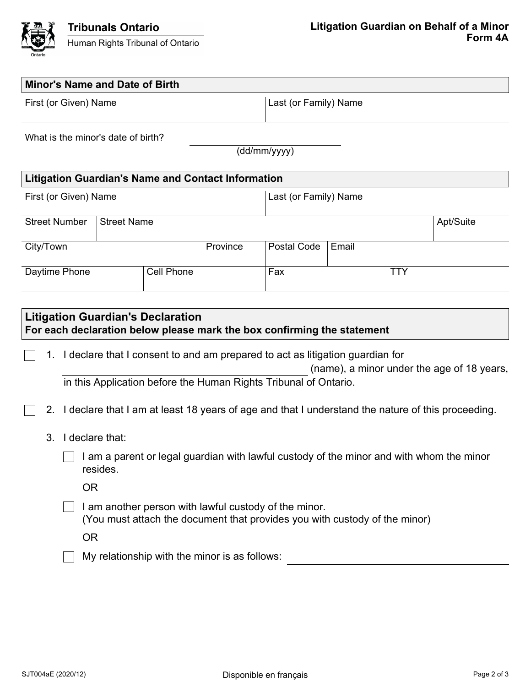

| <b>Minor's Name and Date of Birth</b>                                                                               |                 |                   |                                               |                                                                                                                                     |       |            |                                                                                                   |  |
|---------------------------------------------------------------------------------------------------------------------|-----------------|-------------------|-----------------------------------------------|-------------------------------------------------------------------------------------------------------------------------------------|-------|------------|---------------------------------------------------------------------------------------------------|--|
| First (or Given) Name                                                                                               |                 |                   |                                               | Last (or Family) Name                                                                                                               |       |            |                                                                                                   |  |
| What is the minor's date of birth?                                                                                  |                 |                   |                                               | (dd/mm/yyyy)                                                                                                                        |       |            |                                                                                                   |  |
| <b>Litigation Guardian's Name and Contact Information</b>                                                           |                 |                   |                                               |                                                                                                                                     |       |            |                                                                                                   |  |
| First (or Given) Name                                                                                               |                 |                   |                                               | Last (or Family) Name                                                                                                               |       |            |                                                                                                   |  |
| <b>Street Number</b><br><b>Street Name</b>                                                                          |                 |                   |                                               |                                                                                                                                     |       |            | Apt/Suite                                                                                         |  |
| City/Town                                                                                                           |                 |                   | Province                                      | Postal Code                                                                                                                         | Email |            |                                                                                                   |  |
| Daytime Phone                                                                                                       |                 | <b>Cell Phone</b> |                                               | Fax                                                                                                                                 |       | <b>TTY</b> |                                                                                                   |  |
|                                                                                                                     |                 |                   |                                               |                                                                                                                                     |       |            |                                                                                                   |  |
| <b>Litigation Guardian's Declaration</b><br>For each declaration below please mark the box confirming the statement |                 |                   |                                               |                                                                                                                                     |       |            |                                                                                                   |  |
| 1.                                                                                                                  |                 |                   |                                               | I declare that I consent to and am prepared to act as litigation guardian for                                                       |       |            | (name), a minor under the age of 18 years,                                                        |  |
|                                                                                                                     |                 |                   |                                               | in this Application before the Human Rights Tribunal of Ontario.                                                                    |       |            |                                                                                                   |  |
| 2.                                                                                                                  |                 |                   |                                               |                                                                                                                                     |       |            | I declare that I am at least 18 years of age and that I understand the nature of this proceeding. |  |
| 3.                                                                                                                  | I declare that: |                   |                                               |                                                                                                                                     |       |            |                                                                                                   |  |
|                                                                                                                     | resides.        |                   |                                               | I am a parent or legal guardian with lawful custody of the minor and with whom the minor                                            |       |            |                                                                                                   |  |
| <b>OR</b>                                                                                                           |                 |                   |                                               |                                                                                                                                     |       |            |                                                                                                   |  |
|                                                                                                                     |                 |                   |                                               | I am another person with lawful custody of the minor.<br>(You must attach the document that provides you with custody of the minor) |       |            |                                                                                                   |  |
| <b>OR</b>                                                                                                           |                 |                   |                                               |                                                                                                                                     |       |            |                                                                                                   |  |
|                                                                                                                     |                 |                   | My relationship with the minor is as follows: |                                                                                                                                     |       |            |                                                                                                   |  |
|                                                                                                                     |                 |                   |                                               |                                                                                                                                     |       |            |                                                                                                   |  |
|                                                                                                                     |                 |                   |                                               |                                                                                                                                     |       |            |                                                                                                   |  |